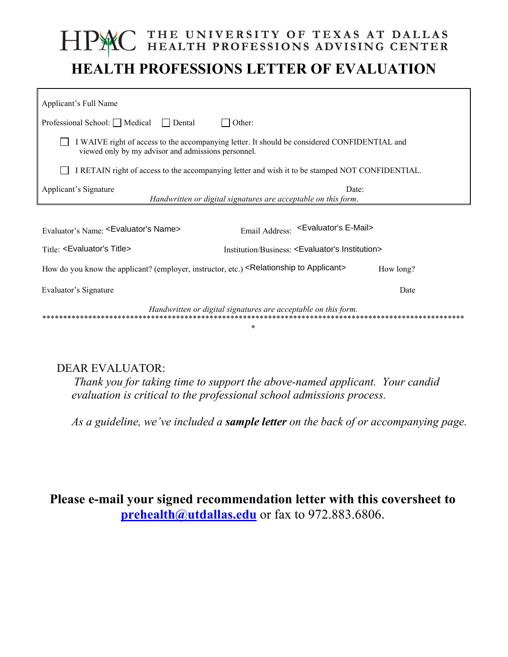## THE UNIVERSITY OF TEXAS AT DALLAS<br>HEALTH PROFESSIONS ADVISING CENTER **HEALTH PROFESSIONS LETTER OF EVALUATION**

| Applicant's Full Name                                                                                                                               |
|-----------------------------------------------------------------------------------------------------------------------------------------------------|
|                                                                                                                                                     |
| Professional School: □ Medical<br>Other:<br>Dental                                                                                                  |
| I WAIVE right of access to the accompanying letter. It should be considered CONFIDENTIAL and<br>viewed only by my advisor and admissions personnel. |
| I RETAIN right of access to the accompanying letter and wish it to be stamped NOT CONFIDENTIAL.                                                     |
| Applicant's Signature<br>Date:                                                                                                                      |
| Handwritten or digital signatures are acceptable on this form.                                                                                      |
|                                                                                                                                                     |
| Email Address: < Evaluator's E-Mail><br>Evaluator's Name: < Evaluator's Name>                                                                       |
| Title: $\leq$ Evaluator's Title><br>Institution/Business: <evaluator's institution=""></evaluator's>                                                |
| How do you know the applicant? (employer, instructor, etc.) <relationship applicant="" to=""><br/>How long?</relationship>                          |
| Evaluator's Signature<br>Date                                                                                                                       |
| Handwritten or digital signatures are acceptable on this form.                                                                                      |

## **DEAR EVALUATOR:**

Thank you for taking time to support the above-named applicant. Your candid evaluation is critical to the professional school admissions process.

As a guideline, we've included a sample letter on the back of or accompanying page.

Please e-mail your signed recommendation letter with this coversheet to prehealth@utdallas.edu or fax to 972.883.6806.